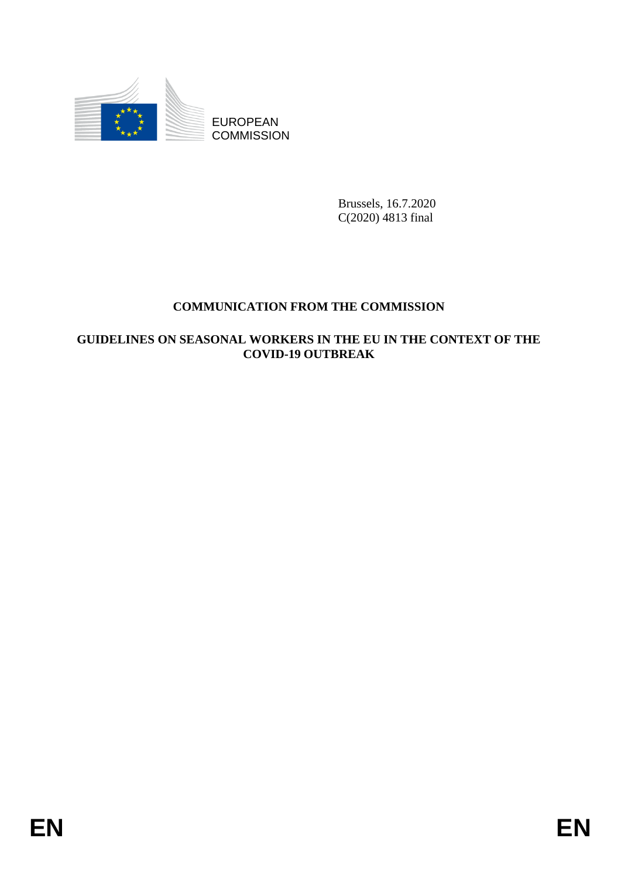

**COMMISSION** 

Brussels, 16.7.2020 C(2020) 4813 final

# **COMMUNICATION FROM THE COMMISSION**

# EUROPEAN<br>
EUROPEAN<br>
ENERGY COMMISSION<br>
REAGAING CONDITING CONDITING CONDITING CONDITION OF THE CONDITION THE CONDITION OF THE CONTEXT OF THE CONDITION OF THE CONDITION OF THE CONDITION OF THE CONDITION OF THE CONDITION OF **GUIDELINES ON SEASONAL WORKERS IN THE EU IN THE CONTEXT OF THE COVID-19 OUTBREAK**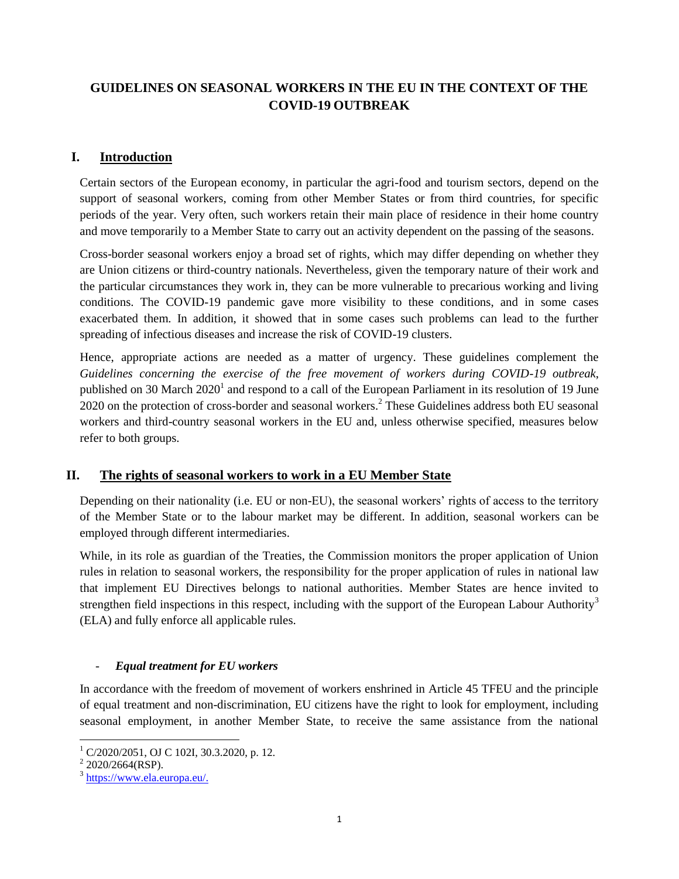# **GUIDELINES ON SEASONAL WORKERS IN THE EU IN THE CONTEXT OF THE COVID-19 OUTBREAK**

## **I. Introduction**

Certain sectors of the European economy, in particular the agri-food and tourism sectors, depend on the support of seasonal workers, coming from other Member States or from third countries, for specific periods of the year. Very often, such workers retain their main place of residence in their home country and move temporarily to a Member State to carry out an activity dependent on the passing of the seasons.

Cross-border seasonal workers enjoy a broad set of rights, which may differ depending on whether they are Union citizens or third-country nationals. Nevertheless, given the temporary nature of their work and the particular circumstances they work in, they can be more vulnerable to precarious working and living conditions. The COVID-19 pandemic gave more visibility to these conditions, and in some cases exacerbated them. In addition, it showed that in some cases such problems can lead to the further spreading of infectious diseases and increase the risk of COVID-19 clusters.

Hence, appropriate actions are needed as a matter of urgency. These guidelines complement the *Guidelines concerning the exercise of the free movement of workers during COVID-19 outbreak*, published on 30 March 2020<sup>1</sup> and respond to a call of the European Parliament in its resolution of 19 June 2020 on the protection of cross-border and seasonal workers.<sup>2</sup> These Guidelines address both EU seasonal workers and third-country seasonal workers in the EU and, unless otherwise specified, measures below refer to both groups.

### **II. The rights of seasonal workers to work in a EU Member State**

Depending on their nationality (i.e. EU or non-EU), the seasonal workers' rights of access to the territory of the Member State or to the labour market may be different. In addition, seasonal workers can be employed through different intermediaries.

While, in its role as guardian of the Treaties, the Commission monitors the proper application of Union rules in relation to seasonal workers, the responsibility for the proper application of rules in national law that implement EU Directives belongs to national authorities. Member States are hence invited to strengthen field inspections in this respect, including with the support of the European Labour Authority<sup>3</sup> (ELA) and fully enforce all applicable rules.

### - *Equal treatment for EU workers*

In accordance with the freedom of movement of workers enshrined in Article 45 TFEU and the principle of equal treatment and non-discrimination, EU citizens have the right to look for employment, including seasonal employment, in another Member State, to receive the same assistance from the national

 $1$  C/2020/2051, OJ C 102I, 30.3.2020, p. 12.

 $2$  2020/2664(RSP).

<sup>&</sup>lt;sup>3</sup> [https://www.ela.europa.eu/.](https://www.ela.europa.eu/)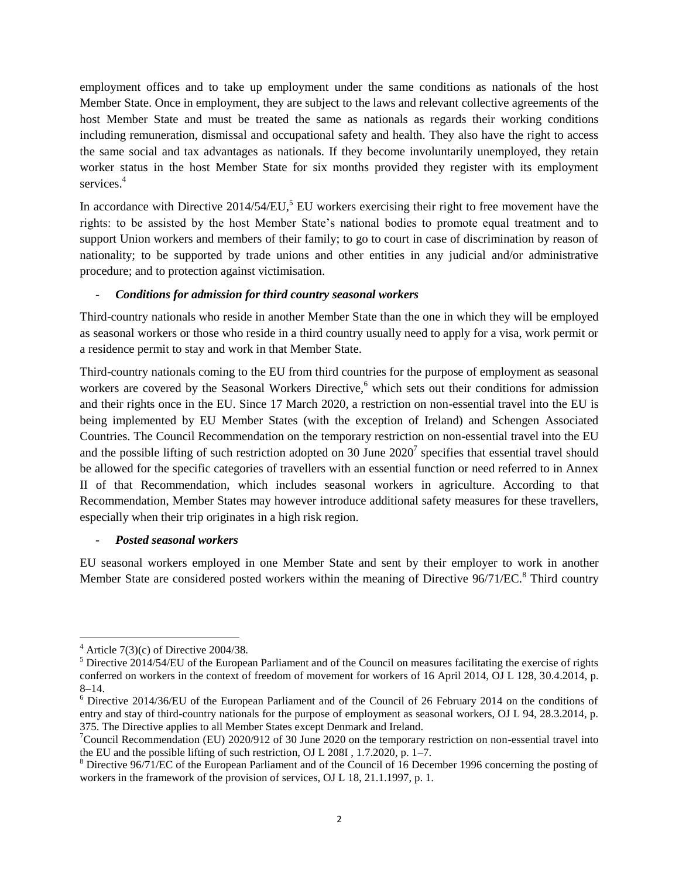employment offices and to take up employment under the same conditions as nationals of the host Member State. Once in employment, they are subject to the laws and relevant collective agreements of the host Member State and must be treated the same as nationals as regards their working conditions including remuneration, dismissal and occupational safety and health. They also have the right to access the same social and tax advantages as nationals. If they become involuntarily unemployed, they retain worker status in the host Member State for six months provided they register with its employment services.<sup>4</sup>

In accordance with Directive  $2014/54/EU$ ,<sup>5</sup> EU workers exercising their right to free movement have the rights: to be assisted by the host Member State's national bodies to promote equal treatment and to support Union workers and members of their family; to go to court in case of discrimination by reason of nationality; to be supported by trade unions and other entities in any judicial and/or administrative procedure; and to protection against victimisation.

### - *Conditions for admission for third country seasonal workers*

Third-country nationals who reside in another Member State than the one in which they will be employed as seasonal workers or those who reside in a third country usually need to apply for a visa, work permit or a residence permit to stay and work in that Member State.

Third-country nationals coming to the EU from third countries for the purpose of employment as seasonal workers are covered by the Seasonal Workers Directive,<sup>6</sup> which sets out their conditions for admission and their rights once in the EU. Since 17 March 2020, a restriction on non-essential travel into the EU is being implemented by EU Member States (with the exception of Ireland) and Schengen Associated Countries. The Council Recommendation on the temporary restriction on non-essential travel into the EU and the possible lifting of such restriction adopted on 30 June  $2020<sup>7</sup>$  specifies that essential travel should be allowed for the specific categories of travellers with an essential function or need referred to in Annex II of that Recommendation, which includes seasonal workers in agriculture. According to that Recommendation, Member States may however introduce additional safety measures for these travellers, especially when their trip originates in a high risk region.

### - *Posted seasonal workers*

EU seasonal workers employed in one Member State and sent by their employer to work in another Member State are considered posted workers within the meaning of Directive 96/71/EC.<sup>8</sup> Third country

 $\overline{a}$ 

 $4$  Article 7(3)(c) of Directive 2004/38.

<sup>&</sup>lt;sup>5</sup> Directive 2014/54/EU of the European Parliament and of the Council on measures facilitating the exercise of rights conferred on workers in the context of freedom of movement for workers of 16 April 2014, OJ L 128, 30.4.2014, p. 8–14.

<sup>6</sup> Directive 2014/36/EU of the European Parliament and of the Council of 26 February 2014 on the conditions of entry and stay of third-country nationals for the purpose of employment as seasonal workers, OJ L 94, 28.3.2014, p. 375. The Directive applies to all Member States except Denmark and Ireland.

 $\sigma$ Council Recommendation (EU) 2020/912 of 30 June 2020 on the temporary restriction on non-essential travel into the EU and the possible lifting of such restriction, OJ L 208I , 1.7.2020, p. 1–7.

<sup>8</sup> Directive 96/71/EC of the European Parliament and of the Council of 16 December 1996 concerning the posting of workers in the framework of the provision of services, OJ L 18, 21.1.1997, p. 1.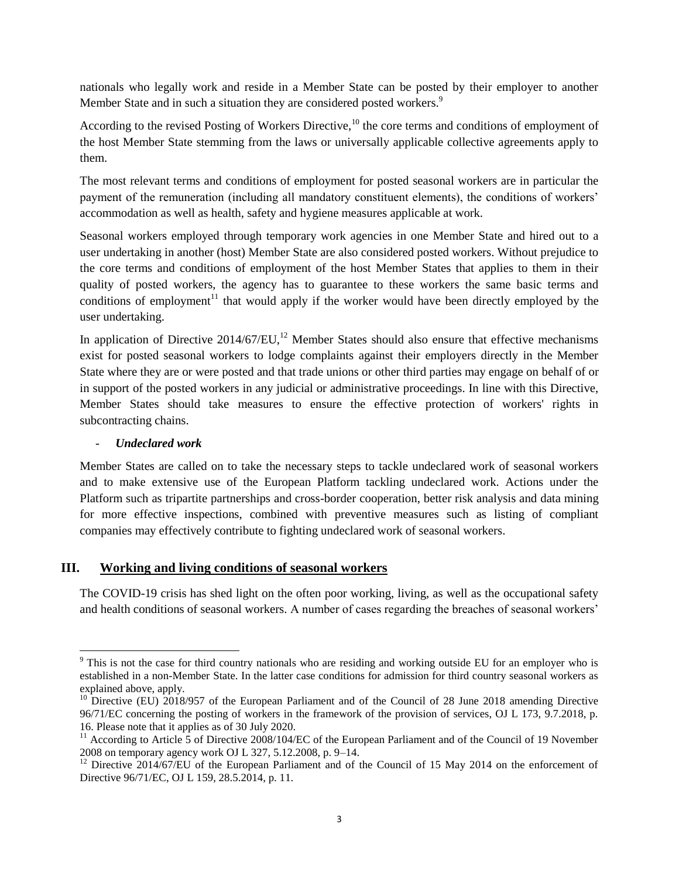nationals who legally work and reside in a Member State can be posted by their employer to another Member State and in such a situation they are considered posted workers.<sup>9</sup>

According to the revised Posting of Workers Directive,<sup>10</sup> the core terms and conditions of employment of the host Member State stemming from the laws or universally applicable collective agreements apply to them.

The most relevant terms and conditions of employment for posted seasonal workers are in particular the payment of the remuneration (including all mandatory constituent elements), the conditions of workers' accommodation as well as health, safety and hygiene measures applicable at work.

Seasonal workers employed through temporary work agencies in one Member State and hired out to a user undertaking in another (host) Member State are also considered posted workers. Without prejudice to the core terms and conditions of employment of the host Member States that applies to them in their quality of posted workers, the agency has to guarantee to these workers the same basic terms and conditions of employment<sup>11</sup> that would apply if the worker would have been directly employed by the user undertaking.

In application of Directive  $2014/67/EU$ ,<sup>12</sup> Member States should also ensure that effective mechanisms exist for posted seasonal workers to lodge complaints against their employers directly in the Member State where they are or were posted and that trade unions or other third parties may engage on behalf of or in support of the posted workers in any judicial or administrative proceedings. In line with this Directive, Member States should take measures to ensure the effective protection of workers' rights in subcontracting chains.

### - *Undeclared work*

 $\overline{\phantom{a}}$ 

Member States are called on to take the necessary steps to tackle undeclared work of seasonal workers and to make extensive use of the European Platform tackling undeclared work. Actions under the Platform such as tripartite partnerships and cross-border cooperation, better risk analysis and data mining for more effective inspections, combined with preventive measures such as listing of compliant companies may effectively contribute to fighting undeclared work of seasonal workers.

### **III. Working and living conditions of seasonal workers**

The COVID-19 crisis has shed light on the often poor working, living, as well as the occupational safety and health conditions of seasonal workers. A number of cases regarding the breaches of seasonal workers'

<sup>&</sup>lt;sup>9</sup> This is not the case for third country nationals who are residing and working outside EU for an employer who is established in a non-Member State. In the latter case conditions for admission for third country seasonal workers as explained above, apply.

<sup>&</sup>lt;sup>10</sup> Directive (EU) 2018/957 of the European Parliament and of the Council of 28 June 2018 amending Directive 96/71/EC concerning the posting of workers in the framework of the provision of services, OJ L 173, 9.7.2018, p. 16. Please note that it applies as of 30 July 2020.

<sup>&</sup>lt;sup>11</sup> According to Article 5 of Directive 2008/104/EC of the European Parliament and of the Council of 19 November 2008 on temporary agency work OJ L 327, 5.12.2008, p. 9–14.

<sup>&</sup>lt;sup>12</sup> Directive 2014/67/EU of the European Parliament and of the Council of 15 May 2014 on the enforcement of Directive 96/71/EC, OJ L 159, 28.5.2014, p. 11.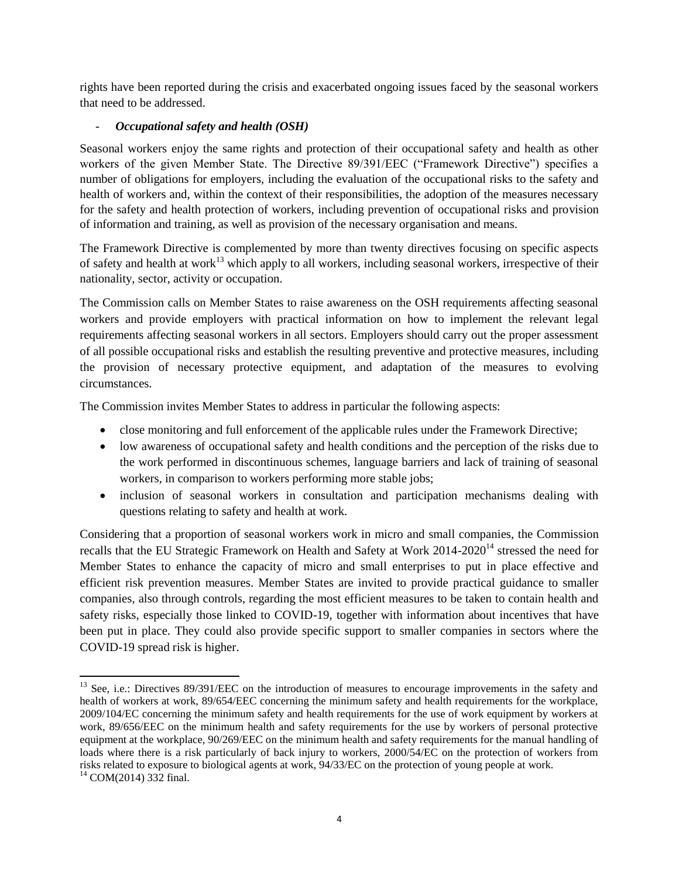rights have been reported during the crisis and exacerbated ongoing issues faced by the seasonal workers that need to be addressed.

### - *Occupational safety and health (OSH)*

l

Seasonal workers enjoy the same rights and protection of their occupational safety and health as other workers of the given Member State. The Directive 89/391/EEC ("Framework Directive") specifies a number of obligations for employers, including the evaluation of the occupational risks to the safety and health of workers and, within the context of their responsibilities, the adoption of the measures necessary for the safety and health protection of workers, including prevention of occupational risks and provision of information and training, as well as provision of the necessary organisation and means.

The Framework Directive is complemented by more than twenty directives focusing on specific aspects of safety and health at work<sup>13</sup> which apply to all workers, including seasonal workers, irrespective of their nationality, sector, activity or occupation.

The Commission calls on Member States to raise awareness on the OSH requirements affecting seasonal workers and provide employers with practical information on how to implement the relevant legal requirements affecting seasonal workers in all sectors. Employers should carry out the proper assessment of all possible occupational risks and establish the resulting preventive and protective measures, including the provision of necessary protective equipment, and adaptation of the measures to evolving circumstances.

The Commission invites Member States to address in particular the following aspects:

- close monitoring and full enforcement of the applicable rules under the Framework Directive;
- low awareness of occupational safety and health conditions and the perception of the risks due to the work performed in discontinuous schemes, language barriers and lack of training of seasonal workers, in comparison to workers performing more stable jobs;
- inclusion of seasonal workers in consultation and participation mechanisms dealing with questions relating to safety and health at work.

Considering that a proportion of seasonal workers work in micro and small companies, the Commission recalls that the EU Strategic Framework on Health and Safety at Work 2014-2020<sup>14</sup> stressed the need for Member States to enhance the capacity of micro and small enterprises to put in place effective and efficient risk prevention measures. Member States are invited to provide practical guidance to smaller companies, also through controls, regarding the most efficient measures to be taken to contain health and safety risks, especially those linked to COVID-19, together with information about incentives that have been put in place. They could also provide specific support to smaller companies in sectors where the COVID-19 spread risk is higher.

<sup>&</sup>lt;sup>13</sup> See, i.e.: Directives 89/391/EEC on the introduction of measures to encourage improvements in the safety and health of workers at work, 89/654/EEC concerning the minimum safety and health requirements for the workplace, 2009/104/EC concerning the minimum safety and health requirements for the use of work equipment by workers at work, 89/656/EEC on the minimum health and safety requirements for the use by workers of personal protective equipment at the workplace, 90/269/EEC on the minimum health and safety requirements for the manual handling of loads where there is a risk particularly of back injury to workers, 2000/54/EC on the protection of workers from risks related to exposure to biological agents at work, 94/33/EC on the protection of young people at work.  $14$  COM(2014) 332 final.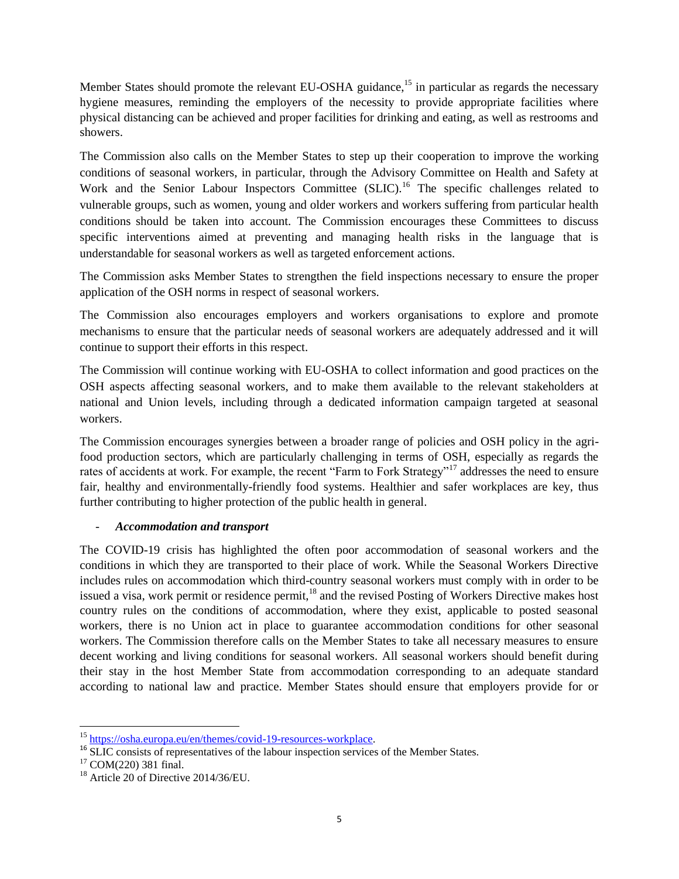Member States should promote the relevant EU-OSHA guidance,<sup>15</sup> in particular as regards the necessary hygiene measures, reminding the employers of the necessity to provide appropriate facilities where physical distancing can be achieved and proper facilities for drinking and eating, as well as restrooms and showers.

The Commission also calls on the Member States to step up their cooperation to improve the working conditions of seasonal workers, in particular, through the Advisory Committee on Health and Safety at Work and the Senior Labour Inspectors Committee (SLIC).<sup>16</sup> The specific challenges related to vulnerable groups, such as women, young and older workers and workers suffering from particular health conditions should be taken into account. The Commission encourages these Committees to discuss specific interventions aimed at preventing and managing health risks in the language that is understandable for seasonal workers as well as targeted enforcement actions.

The Commission asks Member States to strengthen the field inspections necessary to ensure the proper application of the OSH norms in respect of seasonal workers.

The Commission also encourages employers and workers organisations to explore and promote mechanisms to ensure that the particular needs of seasonal workers are adequately addressed and it will continue to support their efforts in this respect.

The Commission will continue working with EU-OSHA to collect information and good practices on the OSH aspects affecting seasonal workers, and to make them available to the relevant stakeholders at national and Union levels, including through a dedicated information campaign targeted at seasonal workers.

The Commission encourages synergies between a broader range of policies and OSH policy in the agrifood production sectors, which are particularly challenging in terms of OSH, especially as regards the rates of accidents at work. For example, the recent "Farm to Fork Strategy"<sup>17</sup> addresses the need to ensure fair, healthy and environmentally-friendly food systems. Healthier and safer workplaces are key, thus further contributing to higher protection of the public health in general.

### - *Accommodation and transport*

The COVID-19 crisis has highlighted the often poor accommodation of seasonal workers and the conditions in which they are transported to their place of work. While the Seasonal Workers Directive includes rules on accommodation which third-country seasonal workers must comply with in order to be issued a visa, work permit or residence permit,<sup>18</sup> and the revised Posting of Workers Directive makes host country rules on the conditions of accommodation, where they exist, applicable to posted seasonal workers, there is no Union act in place to guarantee accommodation conditions for other seasonal workers. The Commission therefore calls on the Member States to take all necessary measures to ensure decent working and living conditions for seasonal workers. All seasonal workers should benefit during their stay in the host Member State from accommodation corresponding to an adequate standard according to national law and practice. Member States should ensure that employers provide for or

<sup>&</sup>lt;sup>15</sup> https://osha.europa.eu/en/themes/covid-19-resources-workplace.

<sup>&</sup>lt;sup>16</sup> SLIC consists of representatives of the labour inspection services of the Member States.

 $17$  COM(220) 381 final.

 $18$  Article 20 of Directive 2014/36/EU.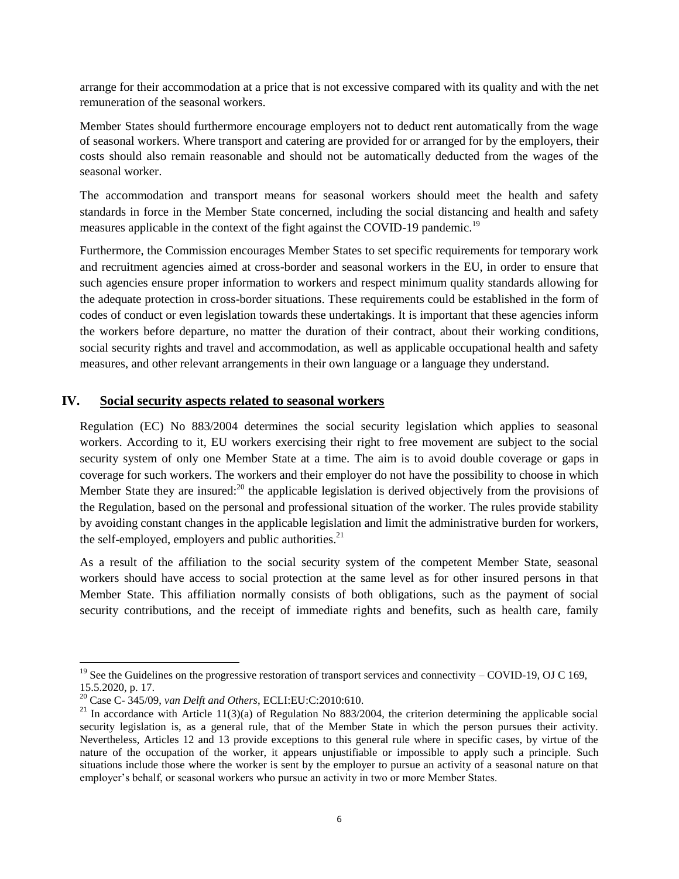arrange for their accommodation at a price that is not excessive compared with its quality and with the net remuneration of the seasonal workers.

Member States should furthermore encourage employers not to deduct rent automatically from the wage of seasonal workers. Where transport and catering are provided for or arranged for by the employers, their costs should also remain reasonable and should not be automatically deducted from the wages of the seasonal worker.

The accommodation and transport means for seasonal workers should meet the health and safety standards in force in the Member State concerned, including the social distancing and health and safety measures applicable in the context of the fight against the COVID-19 pandemic.<sup>19</sup>

Furthermore, the Commission encourages Member States to set specific requirements for temporary work and recruitment agencies aimed at cross-border and seasonal workers in the EU, in order to ensure that such agencies ensure proper information to workers and respect minimum quality standards allowing for the adequate protection in cross-border situations. These requirements could be established in the form of codes of conduct or even legislation towards these undertakings. It is important that these agencies inform the workers before departure, no matter the duration of their contract, about their working conditions, social security rights and travel and accommodation, as well as applicable occupational health and safety measures, and other relevant arrangements in their own language or a language they understand.

### **IV. Social security aspects related to seasonal workers**

Regulation (EC) No 883/2004 determines the social security legislation which applies to seasonal workers. According to it, EU workers exercising their right to free movement are subject to the social security system of only one Member State at a time. The aim is to avoid double coverage or gaps in coverage for such workers. The workers and their employer do not have the possibility to choose in which Member State they are insured:<sup>20</sup> the applicable legislation is derived objectively from the provisions of the Regulation, based on the personal and professional situation of the worker. The rules provide stability by avoiding constant changes in the applicable legislation and limit the administrative burden for workers, the self-employed, employers and public authorities. $2<sup>1</sup>$ 

As a result of the affiliation to the social security system of the competent Member State, seasonal workers should have access to social protection at the same level as for other insured persons in that Member State. This affiliation normally consists of both obligations, such as the payment of social security contributions, and the receipt of immediate rights and benefits, such as health care, family

<sup>&</sup>lt;sup>19</sup> See the Guidelines on the progressive restoration of transport services and connectivity – COVID-19, OJ C 169, 15.5.2020, p. 17.

<sup>20</sup> Case C- 345/09, *van Delft and Others*, ECLI:EU:C:2010:610.

 $21$  In accordance with Article 11(3)(a) of Regulation No 883/2004, the criterion determining the applicable social security legislation is, as a general rule, that of the Member State in which the person pursues their activity. Nevertheless, Articles 12 and 13 provide exceptions to this general rule where in specific cases, by virtue of the nature of the occupation of the worker, it appears unjustifiable or impossible to apply such a principle. Such situations include those where the worker is sent by the employer to pursue an activity of a seasonal nature on that employer's behalf, or seasonal workers who pursue an activity in two or more Member States.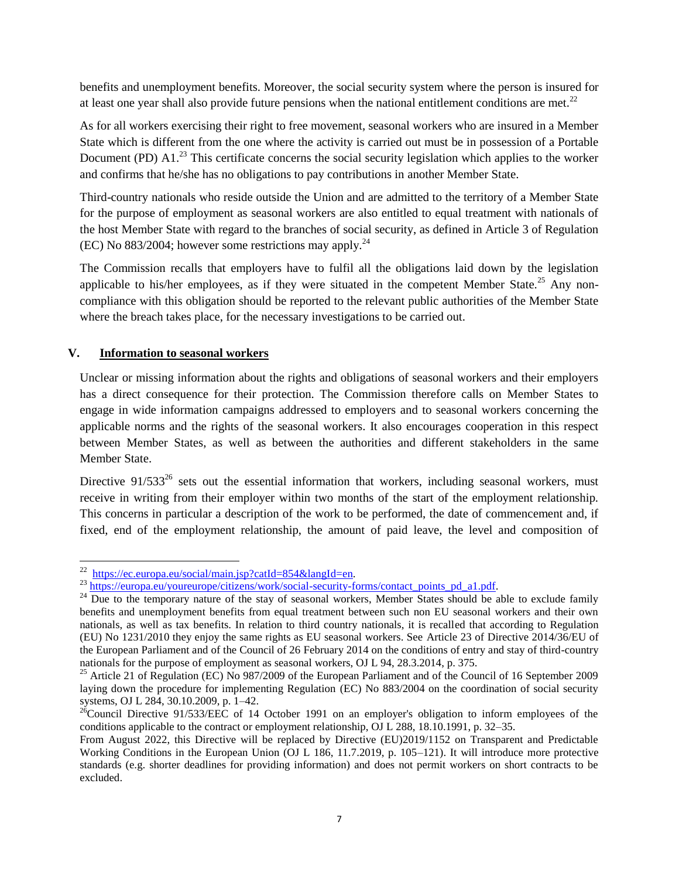benefits and unemployment benefits. Moreover, the social security system where the person is insured for at least one year shall also provide future pensions when the national entitlement conditions are met.<sup>22</sup>

As for all workers exercising their right to free movement, seasonal workers who are insured in a Member State which is different from the one where the activity is carried out must be in possession of a Portable Document (PD)  $\rm{A1.}^{23}$  This certificate concerns the social security legislation which applies to the worker and confirms that he/she has no obligations to pay contributions in another Member State.

Third-country nationals who reside outside the Union and are admitted to the territory of a Member State for the purpose of employment as seasonal workers are also entitled to equal treatment with nationals of the host Member State with regard to the branches of social security, as defined in Article 3 of Regulation (EC) No  $883/2004$ ; however some restrictions may apply.<sup>24</sup>

The Commission recalls that employers have to fulfil all the obligations laid down by the legislation applicable to his/her employees, as if they were situated in the competent Member State.<sup>25</sup> Any noncompliance with this obligation should be reported to the relevant public authorities of the Member State where the breach takes place, for the necessary investigations to be carried out.

### **V. Information to seasonal workers**

Unclear or missing information about the rights and obligations of seasonal workers and their employers has a direct consequence for their protection. The Commission therefore calls on Member States to engage in wide information campaigns addressed to employers and to seasonal workers concerning the applicable norms and the rights of the seasonal workers. It also encourages cooperation in this respect between Member States, as well as between the authorities and different stakeholders in the same Member State.

Directive  $91/533^{26}$  sets out the essential information that workers, including seasonal workers, must receive in writing from their employer within two months of the start of the employment relationship. This concerns in particular a description of the work to be performed, the date of commencement and, if fixed, end of the employment relationship, the amount of paid leave, the level and composition of

 $\frac{1}{22}$ [https://ec.europa.eu/social/main.jsp?catId=854&langId=en.](https://ec.europa.eu/social/main.jsp?catId=854&langId=en) 

<sup>&</sup>lt;sup>23</sup> https://europa.eu/you<u>reurope/citizens/work/social-security-forms/contact\_points\_pd\_a1.pdf</u>.

<sup>&</sup>lt;sup>24</sup> Due to the temporary nature of the stay of seasonal workers, Member States should be able to exclude family benefits and unemployment benefits from equal treatment between such non EU seasonal workers and their own nationals, as well as tax benefits. In relation to third country nationals, it is recalled that according to Regulation (EU) No 1231/2010 they enjoy the same rights as EU seasonal workers. See Article 23 of Directive 2014/36/EU of the European Parliament and of the Council of 26 February 2014 on the conditions of entry and stay of third-country nationals for the purpose of employment as seasonal workers, OJ L 94, 28.3.2014, p. 375.

<sup>&</sup>lt;sup>25</sup> Article 21 of Regulation (EC) No 987/2009 of the European Parliament and of the Council of 16 September 2009 laying down the procedure for implementing Regulation (EC) No 883/2004 on the coordination of social security systems, OJ L 284, 30.10.2009, p. 1–42.

 $^{26}$ Council Directive 91/533/EEC of 14 October 1991 on an employer's obligation to inform employees of the conditions applicable to the contract or employment relationship, OJ L 288, 18.10.1991, p. 32–35.

From August 2022, this Directive will be replaced by Directive (EU)2019/1152 on Transparent and Predictable Working Conditions in the European Union (OJ L 186, 11.7.2019, p. 105–121). It will introduce more protective standards (e.g. shorter deadlines for providing information) and does not permit workers on short contracts to be excluded.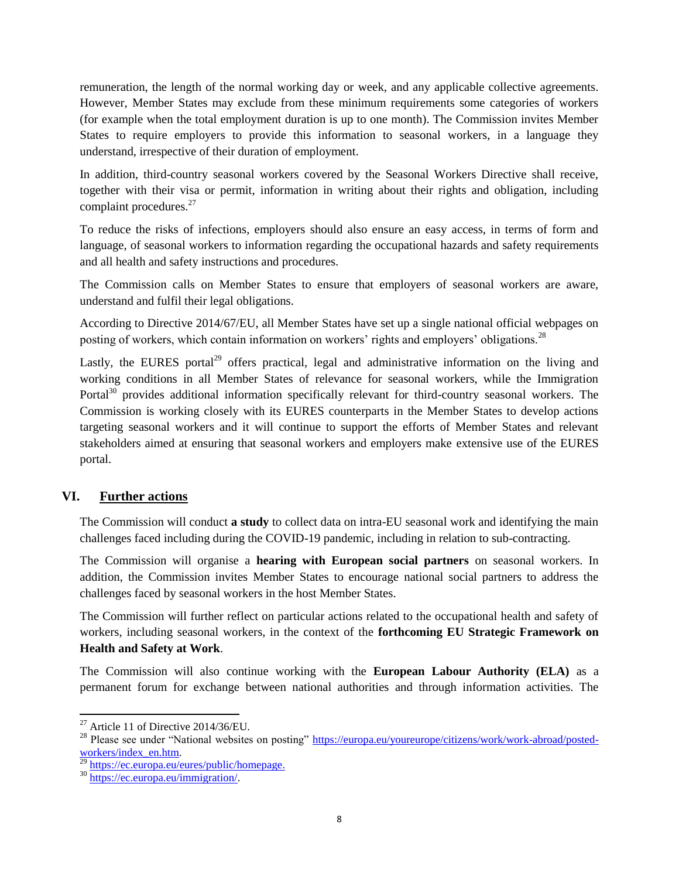remuneration, the length of the normal working day or week, and any applicable collective agreements. However, Member States may exclude from these minimum requirements some categories of workers (for example when the total employment duration is up to one month). The Commission invites Member States to require employers to provide this information to seasonal workers, in a language they understand, irrespective of their duration of employment.

In addition, third-country seasonal workers covered by the Seasonal Workers Directive shall receive, together with their visa or permit, information in writing about their rights and obligation, including complaint procedures.<sup>27</sup>

To reduce the risks of infections, employers should also ensure an easy access, in terms of form and language, of seasonal workers to information regarding the occupational hazards and safety requirements and all health and safety instructions and procedures.

The Commission calls on Member States to ensure that employers of seasonal workers are aware, understand and fulfil their legal obligations.

According to Directive 2014/67/EU, all Member States have set up a single national official webpages on posting of workers, which contain information on workers' rights and employers' obligations.<sup>28</sup>

Lastly, the EURES portal<sup>29</sup> offers practical, legal and administrative information on the living and working conditions in all Member States of relevance for seasonal workers, while the Immigration Portal<sup>30</sup> provides additional information specifically relevant for third-country seasonal workers. The Commission is working closely with its EURES counterparts in the Member States to develop actions targeting seasonal workers and it will continue to support the efforts of Member States and relevant stakeholders aimed at ensuring that seasonal workers and employers make extensive use of the EURES portal.

# **VI. Further actions**

The Commission will conduct **a study** to collect data on intra-EU seasonal work and identifying the main challenges faced including during the COVID-19 pandemic, including in relation to sub-contracting.

The Commission will organise a **hearing with European social partners** on seasonal workers. In addition, the Commission invites Member States to encourage national social partners to address the challenges faced by seasonal workers in the host Member States.

The Commission will further reflect on particular actions related to the occupational health and safety of workers, including seasonal workers, in the context of the **forthcoming EU Strategic Framework on Health and Safety at Work**.

The Commission will also continue working with the **European Labour Authority (ELA)** as a permanent forum for exchange between national authorities and through information activities. The

 $\overline{a}$ 

 $27$  Article 11 of Directive 2014/36/EU.

<sup>&</sup>lt;sup>28</sup> Please see under "National websites on posting" [https://europa.eu/youreurope/citizens/work/work-abroad/posted](https://europa.eu/youreurope/citizens/work/work-abroad/posted-workers/index_en.htm)[workers/index\\_en.htm.](https://europa.eu/youreurope/citizens/work/work-abroad/posted-workers/index_en.htm)

<sup>&</sup>lt;sup>29</sup> [https://ec.europa.eu/eures/public/homepage.](https://ec.europa.eu/eures/public/homepage)

<sup>30</sup> [https://ec.europa.eu/immigration/.](https://ec.europa.eu/immigration/)